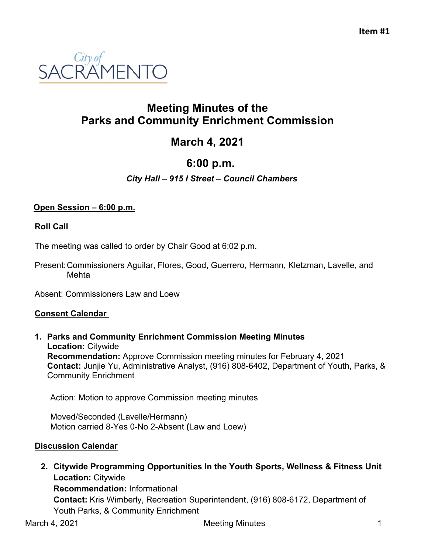

# **Meeting Minutes of the Parks and Community Enrichment Commission**

# **March 4, 2021**

# **6:00 p.m.**

### *City Hall – 915 I Street – Council Chambers*

#### **Open Session – 6:00 p.m.**

#### **Roll Call**

The meeting was called to order by Chair Good at 6:02 p.m.

Present:Commissioners Aguilar, Flores, Good, Guerrero, Hermann, Kletzman, Lavelle, and Mehta

Absent: Commissioners Law and Loew

#### **Consent Calendar**

**1. Parks and Community Enrichment Commission Meeting Minutes Location:** Citywide **Recommendation:** Approve Commission meeting minutes for February 4, 2021 **Contact:** Junjie Yu, Administrative Analyst, (916) 808-6402, Department of Youth, Parks, & Community Enrichment

Action: Motion to approve Commission meeting minutes

Moved/Seconded (Lavelle/Hermann) Motion carried 8-Yes 0-No 2-Absent **(**Law and Loew)

#### **Discussion Calendar**

**2. Citywide Programming Opportunities In the Youth Sports, Wellness & Fitness Unit Location:** Citywide **Recommendation:** Informational **Contact:** Kris Wimberly, Recreation Superintendent, (916) 808-6172, Department of

Youth Parks, & Community Enrichment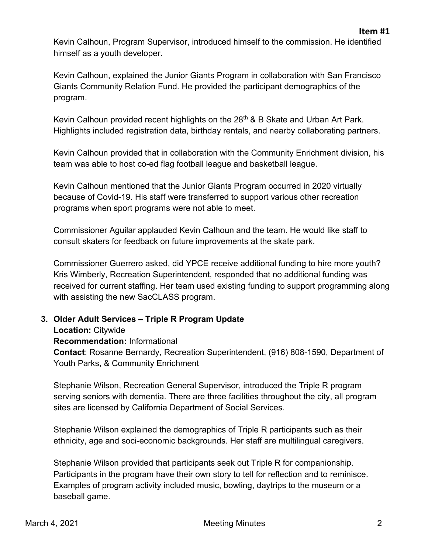Kevin Calhoun, Program Supervisor, introduced himself to the commission. He identified himself as a youth developer.

Kevin Calhoun, explained the Junior Giants Program in collaboration with San Francisco Giants Community Relation Fund. He provided the participant demographics of the program.

Kevin Calhoun provided recent highlights on the 28<sup>th</sup> & B Skate and Urban Art Park. Highlights included registration data, birthday rentals, and nearby collaborating partners.

Kevin Calhoun provided that in collaboration with the Community Enrichment division, his team was able to host co-ed flag football league and basketball league.

Kevin Calhoun mentioned that the Junior Giants Program occurred in 2020 virtually because of Covid-19. His staff were transferred to support various other recreation programs when sport programs were not able to meet.

Commissioner Aguilar applauded Kevin Calhoun and the team. He would like staff to consult skaters for feedback on future improvements at the skate park.

Commissioner Guerrero asked, did YPCE receive additional funding to hire more youth? Kris Wimberly, Recreation Superintendent, responded that no additional funding was received for current staffing. Her team used existing funding to support programming along with assisting the new SacCLASS program.

# **3. Older Adult Services – Triple R Program Update**

**Location:** Citywide

**Recommendation:** Informational

**Contact**: Rosanne Bernardy, Recreation Superintendent, (916) 808-1590, Department of Youth Parks, & Community Enrichment

Stephanie Wilson, Recreation General Supervisor, introduced the Triple R program serving seniors with dementia. There are three facilities throughout the city, all program sites are licensed by California Department of Social Services.

Stephanie Wilson explained the demographics of Triple R participants such as their ethnicity, age and soci-economic backgrounds. Her staff are multilingual caregivers.

Stephanie Wilson provided that participants seek out Triple R for companionship. Participants in the program have their own story to tell for reflection and to reminisce. Examples of program activity included music, bowling, daytrips to the museum or a baseball game.

**Item #1**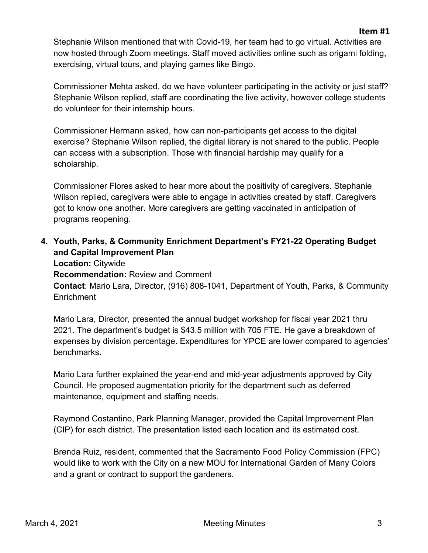Stephanie Wilson mentioned that with Covid-19, her team had to go virtual. Activities are now hosted through Zoom meetings. Staff moved activities online such as origami folding, exercising, virtual tours, and playing games like Bingo.

Commissioner Mehta asked, do we have volunteer participating in the activity or just staff? Stephanie Wilson replied, staff are coordinating the live activity, however college students do volunteer for their internship hours.

Commissioner Hermann asked, how can non-participants get access to the digital exercise? Stephanie Wilson replied, the digital library is not shared to the public. People can access with a subscription. Those with financial hardship may qualify for a scholarship.

Commissioner Flores asked to hear more about the positivity of caregivers. Stephanie Wilson replied, caregivers were able to engage in activities created by staff. Caregivers got to know one another. More caregivers are getting vaccinated in anticipation of programs reopening.

# **4. Youth, Parks, & Community Enrichment Department's FY21-22 Operating Budget and Capital Improvement Plan**

**Location:** Citywide

**Recommendation:** Review and Comment

**Contact**: Mario Lara, Director, (916) 808-1041, Department of Youth, Parks, & Community **Enrichment** 

Mario Lara, Director, presented the annual budget workshop for fiscal year 2021 thru 2021. The department's budget is \$43.5 million with 705 FTE. He gave a breakdown of expenses by division percentage. Expenditures for YPCE are lower compared to agencies' benchmarks.

Mario Lara further explained the year-end and mid-year adjustments approved by City Council. He proposed augmentation priority for the department such as deferred maintenance, equipment and staffing needs.

Raymond Costantino, Park Planning Manager, provided the Capital Improvement Plan (CIP) for each district. The presentation listed each location and its estimated cost.

Brenda Ruiz, resident, commented that the Sacramento Food Policy Commission (FPC) would like to work with the City on a new MOU for International Garden of Many Colors and a grant or contract to support the gardeners.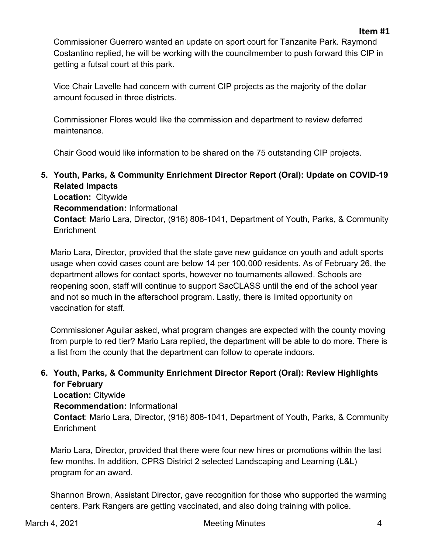Commissioner Guerrero wanted an update on sport court for Tanzanite Park. Raymond Costantino replied, he will be working with the councilmember to push forward this CIP in getting a futsal court at this park.

Vice Chair Lavelle had concern with current CIP projects as the majority of the dollar amount focused in three districts.

Commissioner Flores would like the commission and department to review deferred maintenance.

Chair Good would like information to be shared on the 75 outstanding CIP projects.

**5. Youth, Parks, & Community Enrichment Director Report (Oral): Update on COVID-19 Related Impacts Location:** Citywide **Recommendation:** Informational

**Contact**: Mario Lara, Director, (916) 808-1041, Department of Youth, Parks, & Community **Enrichment** 

Mario Lara, Director, provided that the state gave new guidance on youth and adult sports usage when covid cases count are below 14 per 100,000 residents. As of February 26, the department allows for contact sports, however no tournaments allowed. Schools are reopening soon, staff will continue to support SacCLASS until the end of the school year and not so much in the afterschool program. Lastly, there is limited opportunity on vaccination for staff.

Commissioner Aguilar asked, what program changes are expected with the county moving from purple to red tier? Mario Lara replied, the department will be able to do more. There is a list from the county that the department can follow to operate indoors.

### **6. Youth, Parks, & Community Enrichment Director Report (Oral): Review Highlights for February**

**Location:** Citywide **Recommendation:** Informational **Contact**: Mario Lara, Director, (916) 808-1041, Department of Youth, Parks, & Community **Enrichment** 

Mario Lara, Director, provided that there were four new hires or promotions within the last few months. In addition, CPRS District 2 selected Landscaping and Learning (L&L) program for an award.

Shannon Brown, Assistant Director, gave recognition for those who supported the warming centers. Park Rangers are getting vaccinated, and also doing training with police.

**Item #1**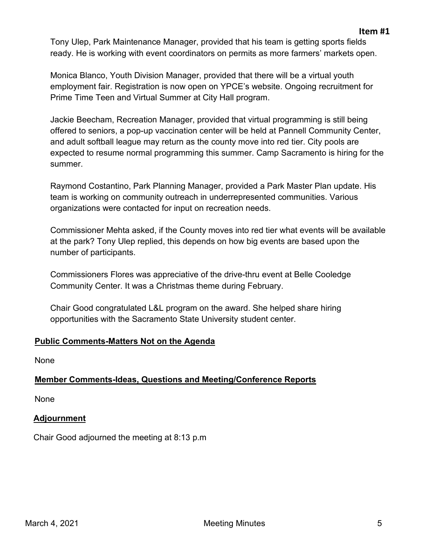Tony Ulep, Park Maintenance Manager, provided that his team is getting sports fields ready. He is working with event coordinators on permits as more farmers' markets open.

Monica Blanco, Youth Division Manager, provided that there will be a virtual youth employment fair. Registration is now open on YPCE's website. Ongoing recruitment for Prime Time Teen and Virtual Summer at City Hall program.

Jackie Beecham, Recreation Manager, provided that virtual programming is still being offered to seniors, a pop-up vaccination center will be held at Pannell Community Center, and adult softball league may return as the county move into red tier. City pools are expected to resume normal programming this summer. Camp Sacramento is hiring for the summer.

Raymond Costantino, Park Planning Manager, provided a Park Master Plan update. His team is working on community outreach in underrepresented communities. Various organizations were contacted for input on recreation needs.

Commissioner Mehta asked, if the County moves into red tier what events will be available at the park? Tony Ulep replied, this depends on how big events are based upon the number of participants.

Commissioners Flores was appreciative of the drive-thru event at Belle Cooledge Community Center. It was a Christmas theme during February.

Chair Good congratulated L&L program on the award. She helped share hiring opportunities with the Sacramento State University student center.

# **Public Comments-Matters Not on the Agenda**

None

# **Member Comments-Ideas, Questions and Meeting/Conference Reports**

None

#### **Adjournment**

Chair Good adjourned the meeting at 8:13 p.m

**Item #1**